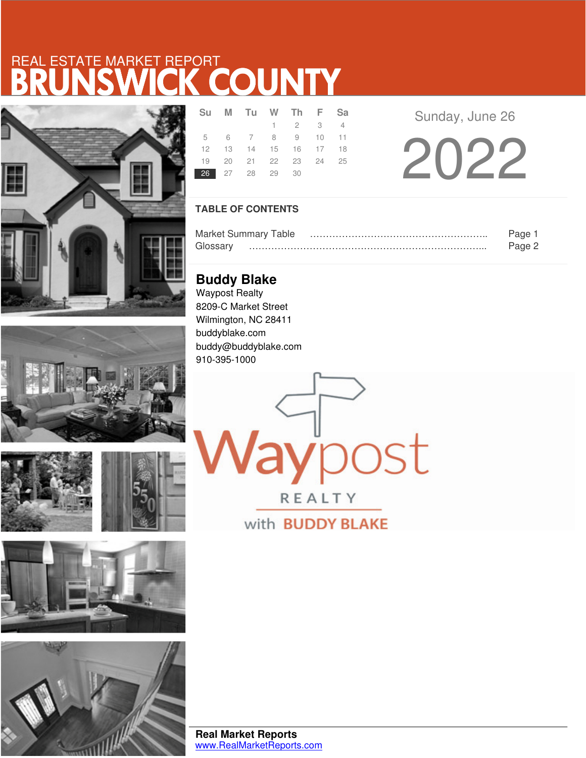# BRUNSWICK COUNTY REAL ESTATE MARKET REPORT











|                | Su M Tu W Th F Sa          |                             |  |  |
|----------------|----------------------------|-----------------------------|--|--|
|                |                            | $1 \quad 2 \quad 3 \quad 4$ |  |  |
|                | 5 6 7 8 9 10 11            |                             |  |  |
|                | 12  13  14  15  16  17  18 |                             |  |  |
|                | 19 20 21 22 23 24 25       |                             |  |  |
| 26 27 28 29 30 |                            |                             |  |  |

Sunday, June 26

2022

## **TABLE OF CONTENTS**

| <b>Market Summary Table</b> | Page   |
|-----------------------------|--------|
| Glossarv                    | Page 2 |

aypost

REALTY

with **BUDDY BLAKE** 

**Buddy Blake** Waypost Realty 8209-C Market Street Wilmington, NC 28411 buddyblake.com buddy@buddyblake.com 910-395-1000

**Real Market Reports** www.RealMarketReports.com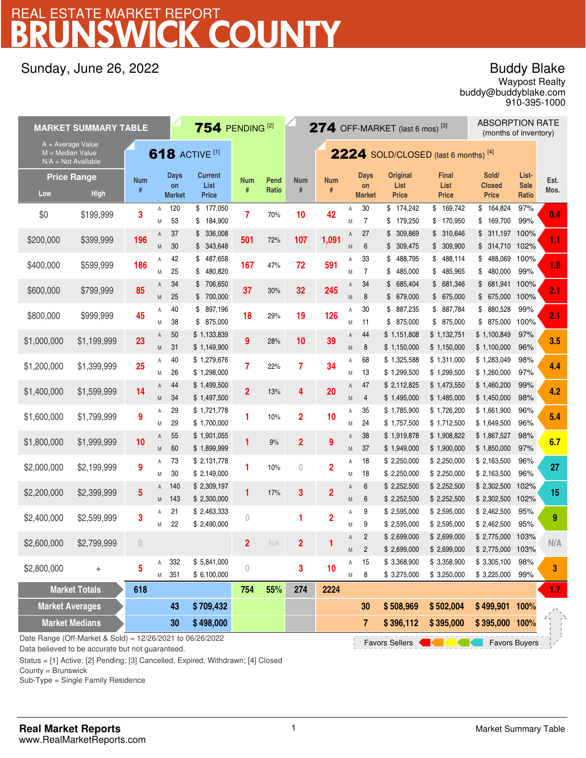# BRUNSWICK COUNTY REAL ESTATE MARKET REPORT

## Sunday, June 26, 2022

## Buddy Blake

buddy@buddyblake.com Waypost Realty 910-395-1000

|                                                                                           | <b>ABSORPTION RATE</b><br>754 PENDING <sup>[2]</sup><br>$274$ OFF-MARKET (last 6 mos) <sup>[3]</sup><br><b>MARKET SUMMARY TABLE</b><br>(months of inventory) |                 |        |                             |                                        |                         |               |                         |                 |                |                             |                                         |                                      |                                        |                               |                  |
|-------------------------------------------------------------------------------------------|--------------------------------------------------------------------------------------------------------------------------------------------------------------|-----------------|--------|-----------------------------|----------------------------------------|-------------------------|---------------|-------------------------|-----------------|----------------|-----------------------------|-----------------------------------------|--------------------------------------|----------------------------------------|-------------------------------|------------------|
| $A = Average Value$<br><b>618 ACTIVE [1]</b><br>M = Median Value<br>$N/A = Not Available$ |                                                                                                                                                              |                 |        |                             | $2224$ SOLD/CLOSED (last 6 months) [4] |                         |               |                         |                 |                |                             |                                         |                                      |                                        |                               |                  |
| Low                                                                                       | <b>Price Range</b><br><b>High</b>                                                                                                                            | <b>Num</b><br># |        | Days<br>on<br><b>Market</b> | <b>Current</b><br>List<br><b>Price</b> | <b>Num</b><br>#         | Pend<br>Ratio | <b>Num</b><br>$\#$      | <b>Num</b><br># |                | Days<br>on<br><b>Market</b> | <b>Original</b><br>List<br><b>Price</b> | <b>Final</b><br>List<br><b>Price</b> | Sold/<br><b>Closed</b><br><b>Price</b> | List-<br><b>Sale</b><br>Ratio | Est.<br>Mos.     |
| \$0                                                                                       | \$199,999                                                                                                                                                    | 3               | Α<br>M | 120<br>53                   | \$177,050<br>184,900<br>\$             | 7                       | 70%           | 10                      | 42              | Α<br>M         | 30<br>7                     | \$174,242<br>179,250<br>\$              | \$169,742<br>\$170,950               | 164,824<br>\$<br>169,700<br>\$         | 97%<br>99%                    | 0.4              |
| \$200,000                                                                                 | \$399,999                                                                                                                                                    | 196             | Α<br>M | 37<br>30                    | 336,008<br>\$<br>343,648<br>S.         | 501                     | 72%           | 107                     | 1,091           | Α<br>M         | 27<br>$6\phantom{1}6$       | 309,869<br>\$<br>\$309,475              | \$ 310,646<br>\$ 309,900             | \$ 311,197 100%<br>\$ 314,710 102%     |                               | 1.1              |
| \$400,000                                                                                 | \$599,999                                                                                                                                                    | 186             | Α<br>M | 42<br>25                    | 487,658<br>\$<br>480,820<br>\$         | 167                     | 47%           | 72                      | 591             | Α<br>M         | 33<br>7                     | 488,795<br>\$<br>485,000<br>\$          | \$488,114<br>\$485,965               | 488,069<br>\$<br>480,000<br>\$         | 100%<br>99%                   | 1.9              |
| \$600,000                                                                                 | \$799,999                                                                                                                                                    | 85              | A<br>M | 34<br>25                    | 706,650<br>\$<br>\$700,000             | 37                      | $30\%$        | 32                      | 245             | Α<br>M         | 34<br>8                     | 685,404<br>\$<br>\$679,000              | \$681,346<br>\$675,000               | 681,941<br>\$<br>\$675,000             | 100%<br>100%                  | 2.1              |
| \$800,000                                                                                 | \$999,999                                                                                                                                                    | 45              | Α<br>M | 40<br>38                    | 897,196<br>\$<br>875,000<br>\$         | 18                      | 29%           | 19                      | 126             | Α<br>M         | 30<br>11                    | 887,235<br>\$<br>875,000<br>\$          | \$ 887,784<br>\$875,000              | 880,528<br>\$<br>\$875,000             | 99%<br>100%                   | 2.1              |
| \$1,000,000                                                                               | \$1,199,999                                                                                                                                                  | 23              | A<br>M | 50<br>31                    | \$1,133,839<br>\$1,149,900             | 9                       | 28%           | 10                      | 39              | Α<br>${\sf M}$ | 44<br>8                     | \$1,151,808<br>\$1,150,000              | \$1,132,751<br>\$1,150,000           | \$1,100,849<br>\$1,100,000             | 97%<br>96%                    | 3.5              |
| \$1,200,000                                                                               | \$1,399,999                                                                                                                                                  | 25              | Α<br>M | 40<br>26                    | \$1,279,676<br>\$1,298,000             | 7                       | 22%           | 7                       | 34              | Α<br>M         | 68<br>13                    | \$1,325,588<br>\$1,299,500              | \$1,311,000<br>\$1,299,500           | \$1,283,049<br>\$1,260,000             | 98%<br>97%                    | 4.4              |
| \$1,400,000                                                                               | \$1,599,999                                                                                                                                                  | 14              | A<br>M | 44<br>34                    | \$1,499,500<br>\$1,497,500             | $\overline{2}$          | 13%           | 4                       | 20              | Α<br>M         | 47<br>$\overline{4}$        | \$2,112,825<br>\$1,495,000              | \$1,473,550<br>\$1,485,000           | \$1,460,200<br>\$1,450,000             | 99%<br>98%                    | 4.2              |
| \$1,600,000                                                                               | \$1,799,999                                                                                                                                                  | 9               | Α<br>M | 29<br>29                    | \$1,721,778<br>\$1,700,000             |                         | 10%           | $\overline{2}$          | 10              | Α<br>Μ         | 35<br>24                    | \$1,785,900<br>\$1,757,500              | \$1,726,200<br>\$1,712,500           | \$1,661,900<br>\$1,649,500             | 96%<br>96%                    | 5.4              |
| \$1,800,000                                                                               | \$1,999,999                                                                                                                                                  | 10              | A<br>M | 55<br>60                    | \$1,901,055<br>\$1,899,999             |                         | 9%            | $\overline{\mathbf{c}}$ | 9               | Α<br>${\sf M}$ | 38<br>37                    | \$1,919,878<br>\$1,949,000              | \$1,908,822<br>\$1,900,000           | \$1,867,527<br>\$1,850,000             | 98%<br>97%                    | 6.7              |
| \$2,000,000                                                                               | \$2,199,999                                                                                                                                                  | 9               | Α<br>M | 73<br>30                    | \$2,131,778<br>\$2,149,000             |                         | 10%           | $\overline{0}$          | $\overline{2}$  | Α<br>M         | 18<br>18                    | \$2,250,000<br>\$2,250,000              | \$2,250,000<br>\$2,250,000           | \$2,163,500<br>\$2,163,500             | 96%<br>96%                    | 27               |
| \$2,200,000                                                                               | \$2,399,999                                                                                                                                                  | 5               | A<br>M | 140<br>143                  | \$2,309,197<br>\$2,300,000             |                         | 17%           | 3                       | $\overline{2}$  | Α<br>M         | 6<br>6                      | \$2,252,500<br>\$2,252,500              | \$2,252,500<br>\$2,252,500           | \$2,302,500<br>\$2,302,500             | 102%<br>102%                  | 15               |
| \$2,400,000                                                                               | \$2,599,999                                                                                                                                                  | 3               | Α<br>M | 21<br>22                    | \$2,463,333<br>\$2,490,000             | 0                       |               | 1                       | $\overline{2}$  | Α<br>M         | 9<br>9                      | \$2,595,000<br>\$2,595,000              | \$2,595,000<br>\$2,595,000           | \$2,462,500<br>\$2,462,500             | 95%<br>95%                    | 9                |
| \$2,600,000                                                                               | \$2,799,999                                                                                                                                                  | $\theta$        |        |                             |                                        | $\overline{\mathbf{c}}$ | N/A           | $\overline{\mathbf{c}}$ |                 | Α<br>${\sf M}$ | 2<br>$\overline{c}$         | \$2,699,000<br>\$2,699,000              | \$2,699,000<br>\$2,699,000           | \$2,775,000 103%<br>\$ 2,775,000 103%  |                               | N/A              |
| \$2,800,000                                                                               | $^{+}$                                                                                                                                                       | 5               | Α<br>M | 332<br>351                  | \$5,841,000<br>\$6,100,000             | 0                       |               | 3                       | 10              | Α<br>Μ         | 15<br>8                     | \$3,368,900<br>\$3,275,000              | \$3,358,900<br>\$3,250,000           | \$3,305,100<br>\$3,225,000             | 98%<br>99%                    | 3                |
| <b>Market Totals</b>                                                                      |                                                                                                                                                              | 618             |        |                             |                                        | 754                     | 55%           | 274                     | 2224            |                |                             |                                         |                                      |                                        |                               | 1.7 <sub>z</sub> |
| <b>Market Averages</b>                                                                    |                                                                                                                                                              |                 |        | 43                          | \$709,432                              |                         |               |                         |                 |                | 30                          | \$508,969                               | \$502,004                            | \$499,901 100%                         |                               |                  |
|                                                                                           | <b>Market Medians</b>                                                                                                                                        |                 |        | 30                          | \$498,000                              |                         |               |                         |                 |                | $\overline{7}$              | \$396,112                               | \$395,000                            | \$395,000 100%                         |                               |                  |
|                                                                                           | Date Range (Off-Market & Sold) = 12/26/2021 to 06/26/2022<br><b>Favors Sellers</b><br><b>Favors Buyers</b>                                                   |                 |        |                             |                                        |                         |               |                         |                 |                |                             |                                         |                                      |                                        |                               |                  |

Data believed to be accurate but not guaranteed.

Status = [1] Active; [2] Pending; [3] Cancelled, Expired, Withdrawn; [4] Closed

County = Brunswick

Sub-Type = Single Family Residence